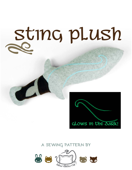# sting plush

# glows in the dark!

# **a sewing pattern by**

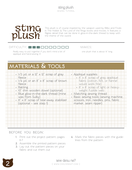

This plush is of course inspired by the weapon used by Bilbo and Frodo in The Hobbit & The Lord of the Rings books and movies. It features a filigree detail that can be done in glow-in-the-dark thread to keep with the theme of the sword.

## $D$ IFFICULTY:  $\blacksquare \blacksquare \blacksquare \blacksquare \blacksquare \blacksquare$

makes:

Really easy to put together if you don't mind a bit of one plush that is about 14" long appliqué and hand-sewing :D

# **materials & tools**

| $\cdot$ 1/3 yd. or a 12" $\times$ 12" scrap of gray | · Appliqué supplies:                          |
|-----------------------------------------------------|-----------------------------------------------|
| fleece                                              | $\cdot$ 8" $\times$ 8" scrap of gray appliqué |
| $\cdot$ 1/4 yd. or an 8" $\times$ 8" scrap of brown | fabric (cotton, felt, or flannel              |
| fleece                                              | would work fine)                              |
| · Batting                                           | · 8" x 8" scrap of light or heavy-            |
| · 10" thin wooden dowel (optional)                  | weight fusible web                            |
| · Blue glow-in-the-dark thread (mine                | • Matching sewing thread                      |
| was from Sulky)                                     | · Basic sewing tools (sewing machine,         |
| · 8" x 8" scrap of tear-away stabilizer             | scissors, iron, needles, pins, fabric         |
| (optional - see step 1)                             | marker, seam ripper)                          |
|                                                     |                                               |
|                                                     |                                               |
|                                                     |                                               |
|                                                     |                                               |
|                                                     |                                               |
|                                                     |                                               |
|                                                     |                                               |

# **before you begin:**

- **1.** Print out the project pattern, pages 6-7
- **2.** Assemble the printed pattern pieces
- **3.** Lay out the pattern pieces on your fabric and cut them out
- **4.** Mark the fabric pieces with the guidelines from the pattern

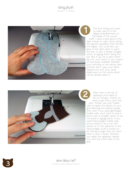

The first thing you'll want to take care of is the filigree embellishment on the blade of the sword itself. I used a blue glow-in-thedark thread to satin stitch along the pattern guideline that formed the filigree. You could also use glow in the dark paint to paint the line, or sew a simple straight stitch or zigzag stitch along the line. But if you do a satin stitch like me, you'll want to use a piece of tear-away stabilizer beneath your stitching so the dense satin stitches don't warp your fabric. Repeat this with your other blade piece so the whole plush will be double-sided :D



After that is the bit of appliqué you'll need to do on the grip. There's no need to get fancy with this part. Simply use your fusible web to apply the pieces to your grip following the pattern guide lines, and, if you used lightweight fusible web, you'll want to sew it down with a straight stitch or (as I've done) a zigzag stitch. If you used heavyweight fusible web, all you need to do is iron the pieces on :D the adhesive in the heavyweight stuff is meant to be strong enough that you don't have to sew it down. However you apply the appliqué, repeat this with the other side of the grip.

Sew desu ne? | www .cholyknight .com |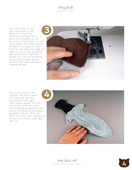Now you'll want to sew your sword grip to the blade. You should see how the sword grip has a point that matches up with the notch at the bottom of the sword blade. You'll have stretch the fabric in the grip to make them line up along that edge, but when you do so you should be able to sew them together  $^{\wedge}$ - $^{\wedge}$ Repeat this with the remaining sword blade and grip pieces, the press the seam allowance towards the grip.



Now you're ready to put together the whole sword :D Simply layer the two sword halves with right sides facing together and sew around the perimeter of the sword, leaving an opening in the side of the blade as the pattern guidelines indicate. When you finish, trim your seam allowances and turn the whole sword right side out.



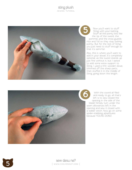

Now you'll want to stuff Sting with your batting. Stuff all the pointy bits like the tip of the sword, the pommel, and the cross guards nice and full so they stay looking pointy. But for the rest of Sting you just need to stuff enough so that it's semi-full.

Also, this is where you'll want to add in your dowel. It's completely optional, as the sword stands up just fine without it, but I opted to add some extra support to Sting. I used a thin wooden dowe, trimmed off the sharp parts, then stuffed it in the middle of Sting, going down the length.



With the sword all filled and ready to go, all that's left is to sew closed the opening in the side of the blade! Simply turn under the seam allowances left in the opening and sew it closed with a ladder stitch. Now go on some spider-stabbing adventures Now you'll want the study would want that tip of the swood pommel, and the cross nice and full so they stated to stuff and it is semi-full.<br>Also, this is where you'll add in your dowel. It's contional, as the sword is just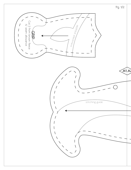